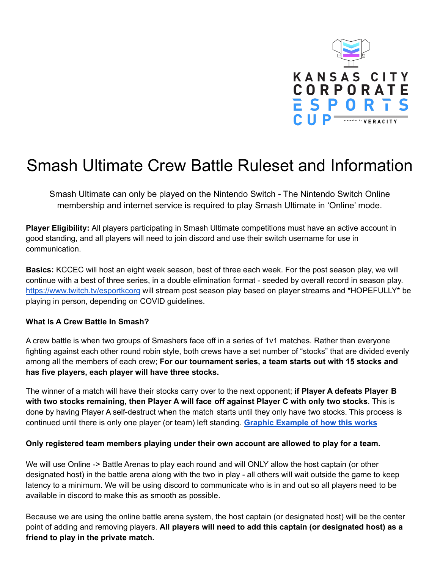

## Smash Ultimate Crew Battle Ruleset and Information

Smash Ultimate can only be played on the Nintendo Switch - The Nintendo Switch Online membership and internet service is required to play Smash Ultimate in 'Online' mode.

**Player Eligibility:** All players participating in Smash Ultimate competitions must have an active account in good standing, and all players will need to join discord and use their switch username for use in communication.

**Basics:** KCCEC will host an eight week season, best of three each week. For the post season play, we will continue with a best of three series, in a double elimination format - seeded by overall record in season play. <https://www.twitch.tv/esportkcorg> will stream post season play based on player streams and \*HOPEFULLY\* be playing in person, depending on COVID guidelines.

## **What Is A Crew Battle In Smash?**

A crew battle is when two groups of Smashers face off in a series of 1v1 matches. Rather than everyone fighting against each other round robin style, both crews have a set number of "stocks" that are divided evenly among all the members of each crew; **For our tournament series, a team starts out with 15 stocks and has five players, each player will have three stocks.**

The winner of a match will have their stocks carry over to the next opponent; **if Player A defeats Player B with two stocks remaining, then Player A will face off against Player C with only two stocks**. This is done by having Player A self-destruct when the match starts until they only have two stocks. This process is continued until there is only one player (or team) left standing. **Graphic [Example](https://omtl93h14or2oe6fzwxeik14-wpengine.netdna-ssl.com/wp-content/uploads/2020/08/Crew-Battle-1.gif) of how this works**

## **Only registered team members playing under their own account are allowed to play for a team.**

We will use Online -> Battle Arenas to play each round and will ONLY allow the host captain (or other designated host) in the battle arena along with the two in play - all others will wait outside the game to keep latency to a minimum. We will be using discord to communicate who is in and out so all players need to be available in discord to make this as smooth as possible.

Because we are using the online battle arena system, the host captain (or designated host) will be the center point of adding and removing players. **All players will need to add this captain (or designated host) as a friend to play in the private match.**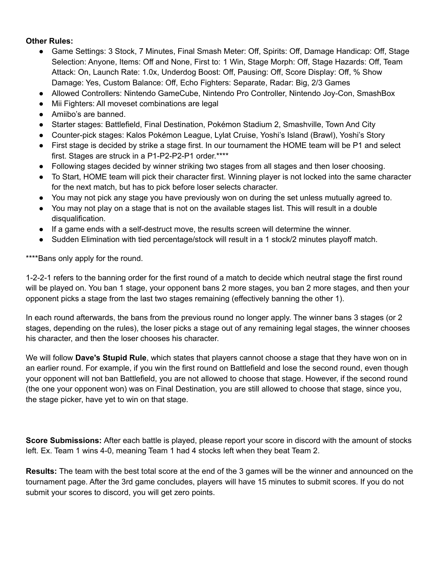## **Other Rules:**

- Game Settings: 3 Stock, 7 Minutes, Final Smash Meter: Off, Spirits: Off, Damage Handicap: Off, Stage Selection: Anyone, Items: Off and None, First to: 1 Win, Stage Morph: Off, Stage Hazards: Off, Team Attack: On, Launch Rate: 1.0x, Underdog Boost: Off, Pausing: Off, Score Display: Off, % Show Damage: Yes, Custom Balance: Off, Echo Fighters: Separate, Radar: Big, 2/3 Games
- Allowed Controllers: Nintendo GameCube, Nintendo Pro Controller, Nintendo Joy-Con, SmashBox
- Mii Fighters: All moveset combinations are legal
- Amiibo's are banned.
- Starter stages: Battlefield, Final Destination, Pokémon Stadium 2, Smashville, Town And City
- Counter-pick stages: Kalos Pokémon League, Lylat Cruise, Yoshi's Island (Brawl), Yoshi's Story
- First stage is decided by strike a stage first. In our tournament the HOME team will be P1 and select first. Stages are struck in a P1-P2-P2-P1 order.\*\*\*\*
- Following stages decided by winner striking two stages from all stages and then loser choosing.
- To Start, HOME team will pick their character first. Winning player is not locked into the same character for the next match, but has to pick before loser selects character.
- You may not pick any stage you have previously won on during the set unless mutually agreed to.
- You may not play on a stage that is not on the available stages list. This will result in a double disqualification.
- If a game ends with a self-destruct move, the results screen will determine the winner.
- Sudden Elimination with tied percentage/stock will result in a 1 stock/2 minutes playoff match.

\*\*\*\*Bans only apply for the round.

1-2-2-1 refers to the banning order for the first round of a match to decide which neutral stage the first round will be played on. You ban 1 stage, your opponent bans 2 more stages, you ban 2 more stages, and then your opponent picks a stage from the last two stages remaining (effectively banning the other 1).

In each round afterwards, the bans from the previous round no longer apply. The winner bans 3 stages (or 2 stages, depending on the rules), the loser picks a stage out of any remaining legal stages, the winner chooses his character, and then the loser chooses his character.

We will follow **Dave's Stupid Rule**, which states that players cannot choose a stage that they have won on in an earlier round. For example, if you win the first round on Battlefield and lose the second round, even though your opponent will not ban Battlefield, you are not allowed to choose that stage. However, if the second round (the one your opponent won) was on Final Destination, you are still allowed to choose that stage, since you, the stage picker, have yet to win on that stage.

**Score Submissions:** After each battle is played, please report your score in discord with the amount of stocks left. Ex. Team 1 wins 4-0, meaning Team 1 had 4 stocks left when they beat Team 2.

**Results:** The team with the best total score at the end of the 3 games will be the winner and announced on the tournament page. After the 3rd game concludes, players will have 15 minutes to submit scores. If you do not submit your scores to discord, you will get zero points.